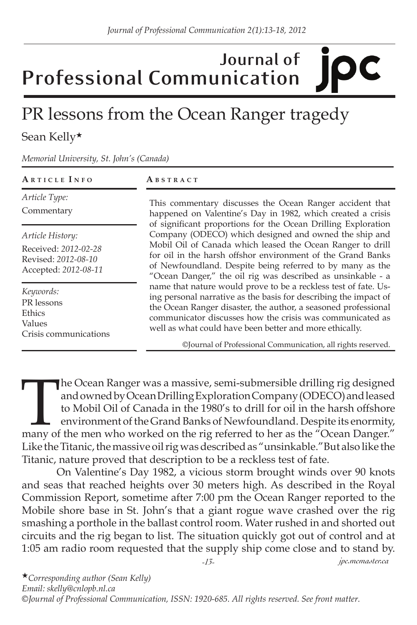## **Journal of Professional Communication**

## PR lessons from the Ocean Ranger tragedy

Sean Kelly★

*Memorial University, St. John's (Canada)*

| ARTICLE INFO                                                                            | ABSTRACT                                                                                                                                                                                                                                                                                                                                                                                                                                                                                                                                                                                                                                                                                                                                                                                                                                                                                                    |
|-----------------------------------------------------------------------------------------|-------------------------------------------------------------------------------------------------------------------------------------------------------------------------------------------------------------------------------------------------------------------------------------------------------------------------------------------------------------------------------------------------------------------------------------------------------------------------------------------------------------------------------------------------------------------------------------------------------------------------------------------------------------------------------------------------------------------------------------------------------------------------------------------------------------------------------------------------------------------------------------------------------------|
| Article Type:<br>Commentary                                                             | This commentary discusses the Ocean Ranger accident that<br>happened on Valentine's Day in 1982, which created a crisis<br>of significant proportions for the Ocean Drilling Exploration<br>Company (ODECO) which designed and owned the ship and<br>Mobil Oil of Canada which leased the Ocean Ranger to drill<br>for oil in the harsh offshor environment of the Grand Banks<br>of Newfoundland. Despite being referred to by many as the<br>"Ocean Danger," the oil rig was described as unsinkable - a<br>name that nature would prove to be a reckless test of fate. Us-<br>ing personal narrative as the basis for describing the impact of<br>the Ocean Ranger disaster, the author, a seasoned professional<br>communicator discusses how the crisis was communicated as<br>well as what could have been better and more ethically.<br>©Journal of Professional Communication, all rights reserved. |
| Article History:<br>Received: 2012-02-28<br>Revised: 2012-08-10<br>Accepted: 2012-08-11 |                                                                                                                                                                                                                                                                                                                                                                                                                                                                                                                                                                                                                                                                                                                                                                                                                                                                                                             |
| Keywords:<br>PR lessons<br>Ethics<br>Values<br>Crisis communications                    |                                                                                                                                                                                                                                                                                                                                                                                                                                                                                                                                                                                                                                                                                                                                                                                                                                                                                                             |

The Ocean Ranger was a massive, semi-submersible drilling rig designed<br>and owned by Ocean Drilling Exploration Company (ODECO) and leased<br>to Mobil Oil of Canada in the 1980's to drill for oil in the harsh offshore<br>environm and owned by Ocean Drilling Exploration Company (ODECO) and leased to Mobil Oil of Canada in the 1980's to drill for oil in the harsh offshore environment of the Grand Banks of Newfoundland. Despite its enormity, Like the Titanic, the massive oil rig was described as "unsinkable."But also like the Titanic, nature proved that description to be a reckless test of fate.

On Valentine's Day 1982, a vicious storm brought winds over 90 knots and seas that reached heights over 30 meters high. As described in the Royal Commission Report, sometime after 7:00 pm the Ocean Ranger reported to the Mobile shore base in St. John's that a giant rogue wave crashed over the rig smashing a porthole in the ballast control room. Water rushed in and shorted out circuits and the rig began to list. The situation quickly got out of control and at 1:05 am radio room requested that the supply ship come close and to stand by.

*-13- jpc.mcmaster.ca*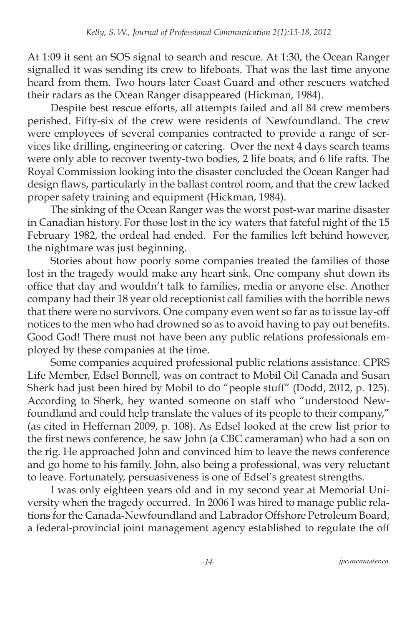At 1:09 it sent an SOS signal to search and rescue. At 1:30, the Ocean Ranger signalled it was sending its crew to lifeboats. That was the last time anyone heard from them. Two hours later Coast Guard and other rescuers watched their radars as the Ocean Ranger disappeared (Hickman, 1984).

Despite best rescue efforts, all attempts failed and all 84 crew members perished. Fifty-six of the crew were residents of Newfoundland. The crew were employees of several companies contracted to provide a range of services like drilling, engineering or catering. Over the next 4 days search teams were only able to recover twenty-two bodies, 2 life boats, and 6 life rafts. The Royal Commission looking into the disaster concluded the Ocean Ranger had design flaws, particularly in the ballast control room, and that the crew lacked proper safety training and equipment (Hickman, 1984).

The sinking of the Ocean Ranger was the worst post-war marine disaster in Canadian history. For those lost in the icy waters that fateful night of the 15 February 1982, the ordeal had ended. For the families left behind however, the nightmare was just beginning.

Stories about how poorly some companies treated the families of those lost in the tragedy would make any heart sink. One company shut down its office that day and wouldn't talk to families, media or anyone else. Another company had their 18 year old receptionist call families with the horrible news that there were no survivors. One company even went so far as to issue lay-off notices to the men who had drowned so as to avoid having to pay out benefits. Good God! There must not have been any public relations professionals employed by these companies at the time.

Some companies acquired professional public relations assistance. CPRS Life Member, Edsel Bonnell, was on contract to Mobil Oil Canada and Susan Sherk had just been hired by Mobil to do "people stuff" (Dodd, 2012, p. 125). According to Sherk, hey wanted someone on staff who "understood Newfoundland and could help translate the values of its people to their company," (as cited in Heffernan 2009, p. 108). As Edsel looked at the crew list prior to the first news conference, he saw John (a CBC cameraman) who had a son on the rig. He approached John and convinced him to leave the news conference and go home to his family. John, also being a professional, was very reluctant to leave. Fortunately, persuasiveness is one of Edsel's greatest strengths.

I was only eighteen years old and in my second year at Memorial University when the tragedy occurred. In 2006 I was hired to manage public relations for the Canada-Newfoundland and Labrador Offshore Petroleum Board, a federal-provincial joint management agency established to regulate the off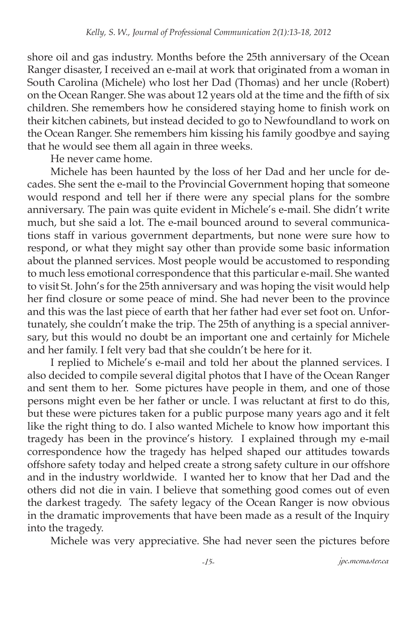shore oil and gas industry. Months before the 25th anniversary of the Ocean Ranger disaster, I received an e-mail at work that originated from a woman in South Carolina (Michele) who lost her Dad (Thomas) and her uncle (Robert) on the Ocean Ranger. She was about 12 years old at the time and the fifth of six children. She remembers how he considered staying home to finish work on their kitchen cabinets, but instead decided to go to Newfoundland to work on the Ocean Ranger. She remembers him kissing his family goodbye and saying that he would see them all again in three weeks.

He never came home.

Michele has been haunted by the loss of her Dad and her uncle for decades. She sent the e-mail to the Provincial Government hoping that someone would respond and tell her if there were any special plans for the sombre anniversary. The pain was quite evident in Michele's e-mail. She didn't write much, but she said a lot. The e-mail bounced around to several communications staff in various government departments, but none were sure how to respond, or what they might say other than provide some basic information about the planned services. Most people would be accustomed to responding to much less emotional correspondence that this particular e-mail. She wanted to visit St. John's for the 25th anniversary and was hoping the visit would help her find closure or some peace of mind. She had never been to the province and this was the last piece of earth that her father had ever set foot on. Unfortunately, she couldn't make the trip. The 25th of anything is a special anniversary, but this would no doubt be an important one and certainly for Michele and her family. I felt very bad that she couldn't be here for it.

I replied to Michele's e-mail and told her about the planned services. I also decided to compile several digital photos that I have of the Ocean Ranger and sent them to her. Some pictures have people in them, and one of those persons might even be her father or uncle. I was reluctant at first to do this, but these were pictures taken for a public purpose many years ago and it felt like the right thing to do. I also wanted Michele to know how important this tragedy has been in the province's history. I explained through my e-mail correspondence how the tragedy has helped shaped our attitudes towards offshore safety today and helped create a strong safety culture in our offshore and in the industry worldwide. I wanted her to know that her Dad and the others did not die in vain. I believe that something good comes out of even the darkest tragedy. The safety legacy of the Ocean Ranger is now obvious in the dramatic improvements that have been made as a result of the Inquiry into the tragedy.

Michele was very appreciative. She had never seen the pictures before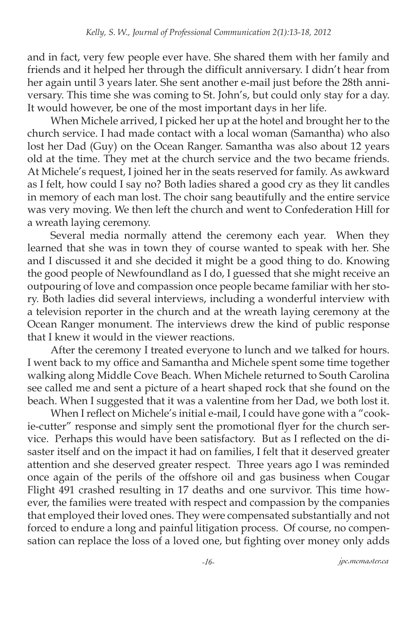and in fact, very few people ever have. She shared them with her family and friends and it helped her through the difficult anniversary. I didn't hear from her again until 3 years later. She sent another e-mail just before the 28th anniversary. This time she was coming to St. John's, but could only stay for a day. It would however, be one of the most important days in her life.

When Michele arrived, I picked her up at the hotel and brought her to the church service. I had made contact with a local woman (Samantha) who also lost her Dad (Guy) on the Ocean Ranger. Samantha was also about 12 years old at the time. They met at the church service and the two became friends. At Michele's request, I joined her in the seats reserved for family. As awkward as I felt, how could I say no? Both ladies shared a good cry as they lit candles in memory of each man lost. The choir sang beautifully and the entire service was very moving. We then left the church and went to Confederation Hill for a wreath laying ceremony.

Several media normally attend the ceremony each year. When they learned that she was in town they of course wanted to speak with her. She and I discussed it and she decided it might be a good thing to do. Knowing the good people of Newfoundland as I do, I guessed that she might receive an outpouring of love and compassion once people became familiar with her story. Both ladies did several interviews, including a wonderful interview with a television reporter in the church and at the wreath laying ceremony at the Ocean Ranger monument. The interviews drew the kind of public response that I knew it would in the viewer reactions.

After the ceremony I treated everyone to lunch and we talked for hours. I went back to my office and Samantha and Michele spent some time together walking along Middle Cove Beach. When Michele returned to South Carolina see called me and sent a picture of a heart shaped rock that she found on the beach. When I suggested that it was a valentine from her Dad, we both lost it.

When I reflect on Michele's initial e-mail, I could have gone with a "cookie-cutter" response and simply sent the promotional flyer for the church service. Perhaps this would have been satisfactory. But as I reflected on the disaster itself and on the impact it had on families, I felt that it deserved greater attention and she deserved greater respect. Three years ago I was reminded once again of the perils of the offshore oil and gas business when Cougar Flight 491 crashed resulting in 17 deaths and one survivor. This time however, the families were treated with respect and compassion by the companies that employed their loved ones. They were compensated substantially and not forced to endure a long and painful litigation process. Of course, no compensation can replace the loss of a loved one, but fighting over money only adds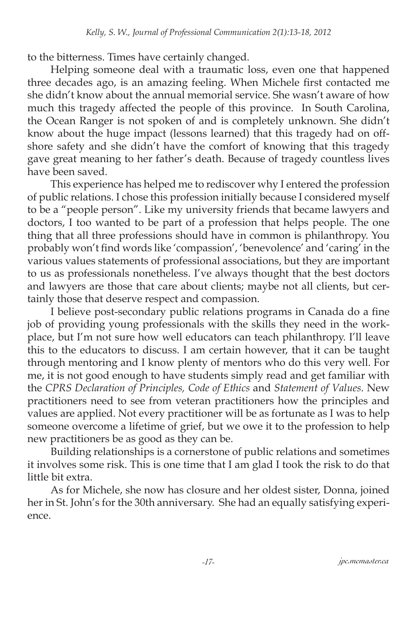to the bitterness. Times have certainly changed.

Helping someone deal with a traumatic loss, even one that happened three decades ago, is an amazing feeling. When Michele first contacted me she didn't know about the annual memorial service. She wasn't aware of how much this tragedy affected the people of this province. In South Carolina, the Ocean Ranger is not spoken of and is completely unknown. She didn't know about the huge impact (lessons learned) that this tragedy had on offshore safety and she didn't have the comfort of knowing that this tragedy gave great meaning to her father's death. Because of tragedy countless lives have been saved.

This experience has helped me to rediscover why I entered the profession of public relations. I chose this profession initially because I considered myself to be a "people person". Like my university friends that became lawyers and doctors, I too wanted to be part of a profession that helps people. The one thing that all three professions should have in common is philanthropy. You probably won't find words like 'compassion', 'benevolence' and 'caring' in the various values statements of professional associations, but they are important to us as professionals nonetheless. I've always thought that the best doctors and lawyers are those that care about clients; maybe not all clients, but certainly those that deserve respect and compassion.

I believe post-secondary public relations programs in Canada do a fine job of providing young professionals with the skills they need in the workplace, but I'm not sure how well educators can teach philanthropy. I'll leave this to the educators to discuss. I am certain however, that it can be taught through mentoring and I know plenty of mentors who do this very well. For me, it is not good enough to have students simply read and get familiar with the *CPRS Declaration of Principles, Code of Ethics* and *Statement of Values*. New practitioners need to see from veteran practitioners how the principles and values are applied. Not every practitioner will be as fortunate as I was to help someone overcome a lifetime of grief, but we owe it to the profession to help new practitioners be as good as they can be.

Building relationships is a cornerstone of public relations and sometimes it involves some risk. This is one time that I am glad I took the risk to do that little bit extra.

As for Michele, she now has closure and her oldest sister, Donna, joined her in St. John's for the 30th anniversary. She had an equally satisfying experience.